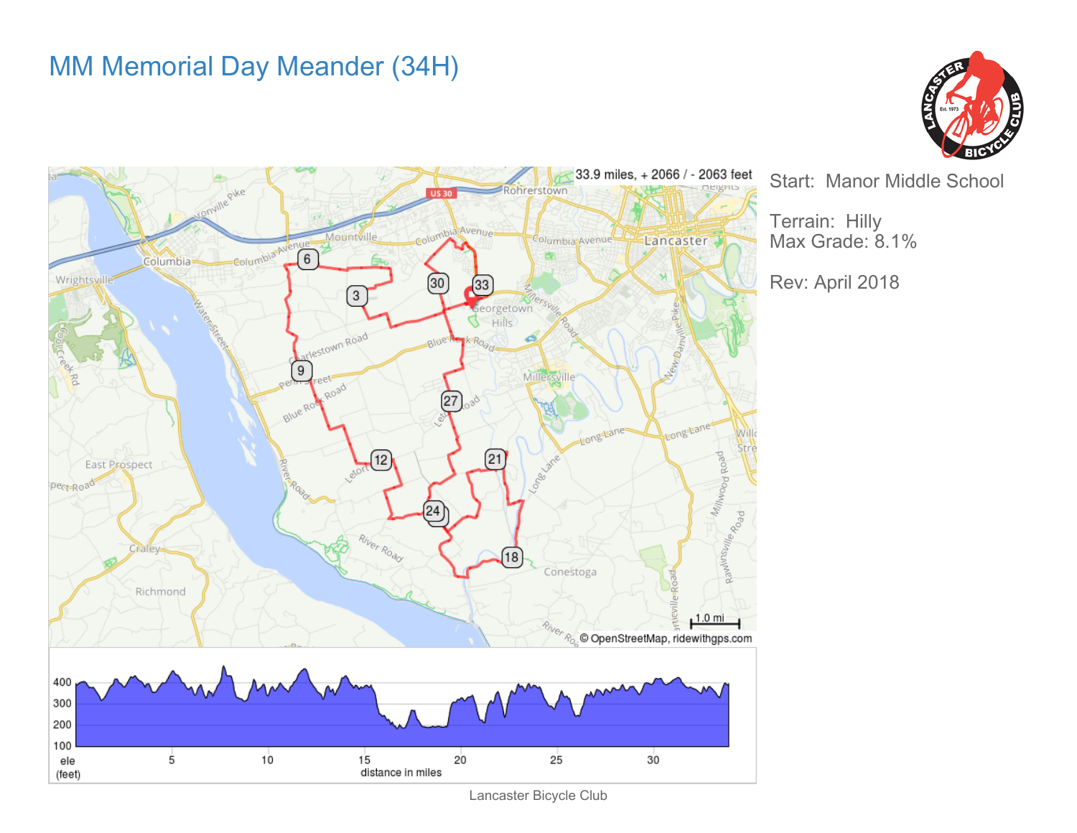## MM Memorial Day Meander (34H)





Start: Manor Middle School

Terrain: Hilly Max Grade: 8.1%

Rev: April 2018